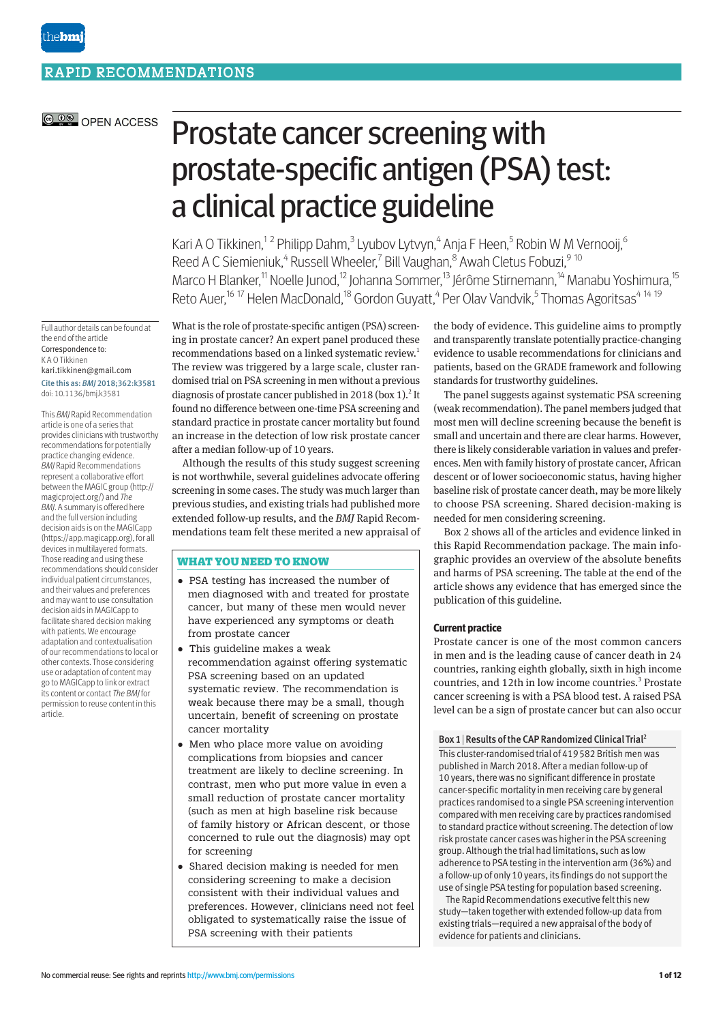**© 0 ©** OPEN ACCESS

Full author details can be found at the end of the article Correspondence to: K A O Tikkinen kari.tikkinen@gmail.com Cite this as: *BMJ* 2018;362:k3581 doi: 10.1136/bmj.k3581

This *BMJ* Rapid Recommendation article is one of a series that provides clinicians with trustworthy recommendations for potentially practice changing evidence. *BMJ* Rapid Recommendations represent a collaborative effort between the MAGIC group (http:// magicproject.org/) and *The BMJ*. A summary is offered here and the full version including decision aids is on the MAGICapp (https://app.magicapp.org), for all devices in multilayered formats. Those reading and using these recommendations should consider individual patient circumstances, and their values and preferences and may want to use consultation decision aids in MAGICapp to facilitate shared decision making with patients. We encourage adaptation and contextualisation of our recommendations to local or other contexts. Those considering use or adaptation of content may go to MAGICapp to link or extract its content or contact *The BMJ* for permission to reuse content in this article.

# Prostate cancer screening with prostate-specific antigen (PSA) test: a clinical practice guideline

Kari A O Tikkinen,<sup>12</sup> Philipp Dahm,<sup>3</sup> Lyubov Lytvyn,<sup>4</sup> Anja F Heen,<sup>5</sup> Robin W M Vernooij,<sup>6</sup> Reed A C Siemieniuk,<sup>4</sup> Russell Wheeler,<sup>7</sup> Bill Vaughan,<sup>8</sup> Awah Cletus Fobuzi,<sup>9 10</sup> Marco H Blanker,<sup>11</sup> Noelle Junod,<sup>12</sup> Johanna Sommer,<sup>13</sup> Jérôme Stirnemann,<sup>14</sup> Manabu Yoshimura,<sup>15</sup> Reto Auer,<sup>16 17</sup> Helen MacDonald,<sup>18</sup> Gordon Guyatt,<sup>4</sup> Per Olav Vandvik,<sup>5</sup> Thomas Agoritsas<sup>4 14 19</sup>

What is the role of prostate-specific antigen (PSA) screening in prostate cancer? An expert panel produced these recommendations based on a linked systematic review.<sup>1</sup> The review was triggered by a large scale, cluster randomised trial on PSA screening in men without a previous diagnosis of prostate cancer published in 2018 (box 1).<sup>2</sup> It found no difference between one-time PSA screening and standard practice in prostate cancer mortality but found an increase in the detection of low risk prostate cancer after a median follow-up of 10 years.

Although the results of this study suggest screening is not worthwhile, several guidelines advocate offering screening in some cases. The study was much larger than previous studies, and existing trials had published more extended follow-up results, and the *BMJ* Rapid Recommendations team felt these merited a new appraisal of

#### WHAT YOU NEED TO KNOW

- PSA testing has increased the number of men diagnosed with and treated for prostate cancer, but many of these men would never have experienced any symptoms or death from prostate cancer
- This guideline makes a weak recommendation against offering systematic PSA screening based on an updated systematic review. The recommendation is weak because there may be a small, though uncertain, benefit of screening on prostate cancer mortality
- Men who place more value on avoiding complications from biopsies and cancer treatment are likely to decline screening. In contrast, men who put more value in even a small reduction of prostate cancer mortality (such as men at high baseline risk because of family history or African descent, or those concerned to rule out the diagnosis) may opt for screening
- Shared decision making is needed for men considering screening to make a decision consistent with their individual values and preferences. However, clinicians need not feel obligated to systematically raise the issue of PSA screening with their patients

the body of evidence. This guideline aims to promptly and transparently translate potentially practice-changing evidence to usable recommendations for clinicians and patients, based on the GRADE framework and following standards for trustworthy guidelines.

The panel suggests against systematic PSA screening (weak recommendation). The panel members judged that most men will decline screening because the benefit is small and uncertain and there are clear harms. However, there is likely considerable variation in values and preferences. Men with family history of prostate cancer, African descent or of lower socioeconomic status, having higher baseline risk of prostate cancer death, may be more likely to choose PSA screening. Shared decision-making is needed for men considering screening.

Box 2 shows all of the articles and evidence linked in this Rapid Recommendation package. The main infographic provides an overview of the absolute benefits and harms of PSA screening. The table at the end of the article shows any evidence that has emerged since the publication of this guideline.

#### **Current practice**

Prostate cancer is one of the most common cancers in men and is the leading cause of cancer death in 24 countries, ranking eighth globally, sixth in high income countries, and 12th in low income countries.<sup>3</sup> Prostate cancer screening is with a PSA blood test. A raised PSA level can be a sign of prostate cancer but can also occur

#### Box 1 | Results of the CAP Randomized Clinical Trial<sup>2</sup>

This cluster-randomised trial of 419582 British men was published in March 2018. After a median follow-up of 10 years, there was no significant difference in prostate cancer-specific mortality in men receiving care by general practices randomised to a single PSA screening intervention compared with men receiving care by practices randomised to standard practice without screening. The detection of low risk prostate cancer cases was higher in the PSA screening group. Although the trial had limitations, such as low adherence to PSA testing in the intervention arm (36%) and a follow-up of only 10 years, its findings do not support the use of single PSA testing for population based screening.

The Rapid Recommendations executive felt this new study—taken together with extended follow-up data from existing trials—required a new appraisal of the body of evidence for patients and clinicians.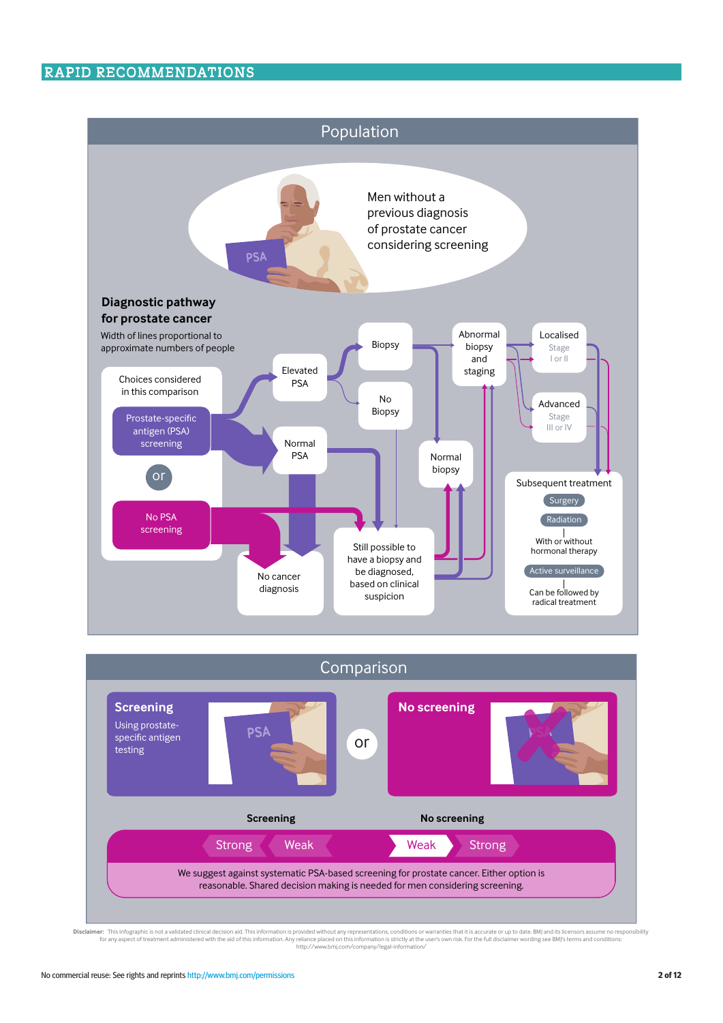



for any aspect of treatment administered with the aid of this information. Any reliance placed on this information is strictly at the user's own risk. For the full disclaimer wording see BMJ's terms and conditions:<br>http:// Disclaimer: This infographic is not a validated clinical decision aid. This information is provided without any representations, conditions or warranties that it is accurate or up to date. BMJ and its licensors assume no r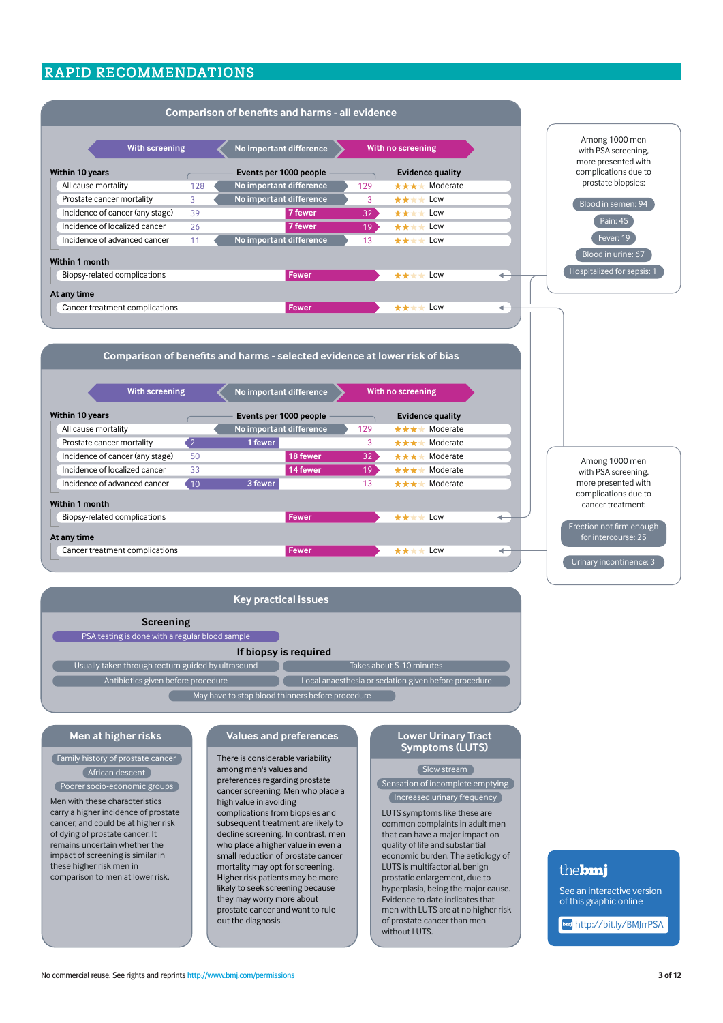| <b>Comparison of benefits and harms - all evidence</b> |     |  |                         |  |                 |                                    |
|--------------------------------------------------------|-----|--|-------------------------|--|-----------------|------------------------------------|
| <b>With screening</b>                                  |     |  | No important difference |  |                 | <b>With no screening</b>           |
| Within 10 years                                        |     |  | Events per 1000 people  |  |                 | <b>Evidence quality</b>            |
| All cause mortality                                    | 128 |  | No important difference |  | 129             | $\star \star \star \star$ Moderate |
| Prostate cancer mortality                              | 3   |  | No important difference |  | 3               | $\star\star\star\star$ Low         |
| Incidence of cancer (any stage)                        | 39  |  | 7 fewer                 |  | 32 <sup>2</sup> | $\star\star\star\star$ Low         |
| Incidence of localized cancer                          | 26  |  | 7 fewer                 |  | 19              | $\star\star\star\star$ Low         |
| Incidence of advanced cancer                           | 11  |  | No important difference |  | 13              | $\star\star\star\star$ Low         |
| <b>Within 1 month</b>                                  |     |  |                         |  |                 |                                    |
| Biopsy-related complications                           |     |  | Fewer                   |  |                 | Low<br>****                        |
| At any time                                            |     |  |                         |  |                 |                                    |
| Cancer treatment complications                         |     |  | <b>Fewer</b>            |  |                 | Low<br>****                        |

Among 1000 men with PSA screening, more presented with complications due to prostate biopsies:



**Comparison of benefits and harms - selected evidence at lower risk of bias**

| <b>With screening</b>           |    | No important difference |              |     | <b>With no screening</b> |
|---------------------------------|----|-------------------------|--------------|-----|--------------------------|
| <b>Within 10 years</b>          |    | Events per 1000 people  |              |     | <b>Evidence quality</b>  |
| All cause mortality             |    | No important difference |              | 129 | Moderate<br>****         |
| Prostate cancer mortality       |    | 1 fewer                 |              | 3   | Moderate<br>***          |
| Incidence of cancer (any stage) | 50 |                         | 18 fewer     | 32  | Moderate<br>****         |
| Incidence of localized cancer   | 33 |                         | 14 fewer     | 19  | Moderate<br>****         |
| Incidence of advanced cancer    | 10 | 3 fewer                 |              | 13  | Moderate<br>**           |
| <b>Within 1 month</b>           |    |                         |              |     |                          |
| Biopsy-related complications    |    |                         | <b>Fewer</b> |     | Low<br>**<br>**          |
| At any time                     |    |                         |              |     |                          |
| Cancer treatment complications  |    |                         | <b>Fewer</b> |     | Low                      |





#### **Men at higher risks**

#### Family history of prostate cancer African descent

Men with these characteristics carry a higher incidence of prostate cancer, and could be at higher risk of dying of prostate cancer. It remains uncertain whether the impact of screening is similar in these higher risk men in comparison to men at lower risk. Poorer socio-economic groups

#### **Values and preferences**

There is considerable variability among men's values and preferences regarding prostate cancer screening. Men who place a high value in avoiding complications from biopsies and subsequent treatment are likely to decline screening. In contrast, men who place a higher value in even a small reduction of prostate cancer mortality may opt for screening. Higher risk patients may be more likely to seek screening because they may worry more about prostate cancer and want to rule out the diagnosis.

#### **Lower Urinary Tract Symptoms (LUTS)**

Slow stream Sensation of incomplete emptying Increased urinary frequency

LUTS symptoms like these are common complaints in adult men that can have a major impact on quality of life and substantial economic burden. The aetiology of LUTS is multifactorial, benign prostatic enlargement, due to hyperplasia, being the major cause. Evidence to date indicates that men with LUTS are at no higher risk of prostate cancer than men without LUTS.

#### Among 1000 men with PSA screening, more presented with complications due to cancer treatment:

Erection not firm enough for intercourse: 25

Urinary incontinence: 3

## thebmj

See an interactive version of this graphic online

**http://bit.ly/BMJrrPSA**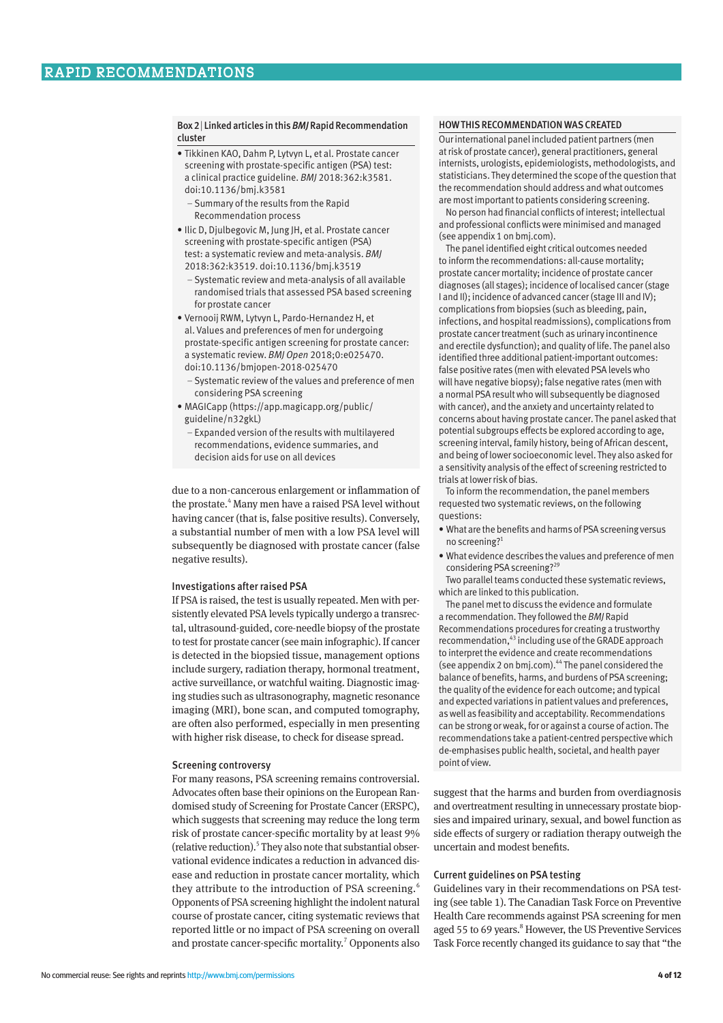#### Box 2| Linked articles in this *BMJ* Rapid Recommendation cluster

- Tikkinen KAO, Dahm P, Lytvyn L, et al. Prostate cancer screening with prostate-specific antigen (PSA) test: a clinical practice guideline. *BMJ* 2018:362:k3581. doi:10.1136/bmj.k3581
	- Summary of the results from the Rapid Recommendation process
- Ilic D, Djulbegovic M, Jung JH, et al. Prostate cancer screening with prostate-specific antigen (PSA) test: a systematic review and meta-analysis. *BMJ* 2018:362:k3519. doi:10.1136/bmj.k3519
	- Systematic review and meta-analysis of all available randomised trials that assessed PSA based screening for prostate cancer
- Vernooij RWM, Lytvyn L, Pardo-Hernandez H, et al. Values and preferences of men for undergoing prostate-specific antigen screening for prostate cancer: a systematic review. *BMJ Open* 2018;0:e025470. doi:10.1136/bmjopen-2018-025470
- Systematic review of the values and preference of men considering PSA screening
- MAGICapp (https://app.magicapp.org/public/ guideline/n32gkL)
	- Expanded version of the results with multilayered recommendations, evidence summaries, and decision aids for use on all devices

due to a non-cancerous enlargement or inflammation of the prostate.<sup>4</sup> Many men have a raised PSA level without having cancer (that is, false positive results). Conversely, a substantial number of men with a low PSA level will subsequently be diagnosed with prostate cancer (false negative results).

#### Investigations after raised PSA

If PSA is raised, the test is usually repeated. Men with persistently elevated PSA levels typically undergo a transrectal, ultrasound-guided, core-needle biopsy of the prostate to test for prostate cancer (see main infographic). If cancer is detected in the biopsied tissue, management options include surgery, radiation therapy, hormonal treatment, active surveillance, or watchful waiting. Diagnostic imaging studies such as ultrasonography, magnetic resonance imaging (MRI), bone scan, and computed tomography, are often also performed, especially in men presenting with higher risk disease, to check for disease spread.

#### Screening controversy

For many reasons, PSA screening remains controversial. Advocates often base their opinions on the European Randomised study of Screening for Prostate Cancer (ERSPC), which suggests that screening may reduce the long term risk of prostate cancer-specific mortality by at least 9% (relative reduction).<sup>5</sup> They also note that substantial observational evidence indicates a reduction in advanced disease and reduction in prostate cancer mortality, which they attribute to the introduction of PSA screening.<sup>6</sup> Opponents of PSA screening highlight the indolent natural course of prostate cancer, citing systematic reviews that reported little or no impact of PSA screening on overall and prostate cancer-specific mortality.<sup>7</sup> Opponents also

#### HOW THIS RECOMMENDATION WAS CREATED

Our international panel included patient partners (men at risk of prostate cancer), general practitioners, general internists, urologists, epidemiologists, methodologists, and statisticians. They determined the scope of the question that the recommendation should address and what outcomes are most important to patients considering screening.

No person had financial conflicts of interest; intellectual and professional conflicts were minimised and managed (see appendix 1 on bmj.com).

The panel identified eight critical outcomes needed to inform the recommendations: all-cause mortality; prostate cancer mortality; incidence of prostate cancer diagnoses (all stages); incidence of localised cancer (stage I and II); incidence of advanced cancer (stage III and IV); complications from biopsies (such as bleeding, pain, infections, and hospital readmissions), complications from prostate cancer treatment (such as urinary incontinence and erectile dysfunction); and quality of life. The panel also identified three additional patient-important outcomes: false positive rates (men with elevated PSA levels who will have negative biopsy); false negative rates (men with a normal PSA result who will subsequently be diagnosed with cancer), and the anxiety and uncertainty related to concerns about having prostate cancer. The panel asked that potential subgroups effects be explored according to age, screening interval, family history, being of African descent, and being of lower socioeconomic level. They also asked for a sensitivity analysis of the effect of screening restricted to trials at lower risk of bias.

To inform the recommendation, the panel members requested two systematic reviews, on the following questions:

- What are the benefits and harms of PSA screening versus no screening? $1$
- What evidence describes the values and preference of men considering PSA screening?<sup>29</sup>

Two parallel teams conducted these systematic reviews, which are linked to this publication.

The panel met to discuss the evidence and formulate a recommendation. They followed the *BMJ* Rapid Recommendations procedures for creating a trustworthy recommendation, <sup>43</sup> including use of the GRADE approach to interpret the evidence and create recommendations (see appendix 2 on bmj.com). $44$  The panel considered the balance of benefits, harms, and burdens of PSA screening; the quality of the evidence for each outcome; and typical and expected variations in patient values and preferences, as well as feasibility and acceptability. Recommendations can be strong or weak, for or against a course of action. The recommendations take a patient-centred perspective which de-emphasises public health, societal, and health payer point of view.

suggest that the harms and burden from overdiagnosis and overtreatment resulting in unnecessary prostate biopsies and impaired urinary, sexual, and bowel function as side effects of surgery or radiation therapy outweigh the uncertain and modest benefits.

#### Current guidelines on PSA testing

Guidelines vary in their recommendations on PSA testing (see table 1). The Canadian Task Force on Preventive Health Care recommends against PSA screening for men aged 55 to 69 years.<sup>8</sup> However, the US Preventive Services Task Force recently changed its guidance to say that "the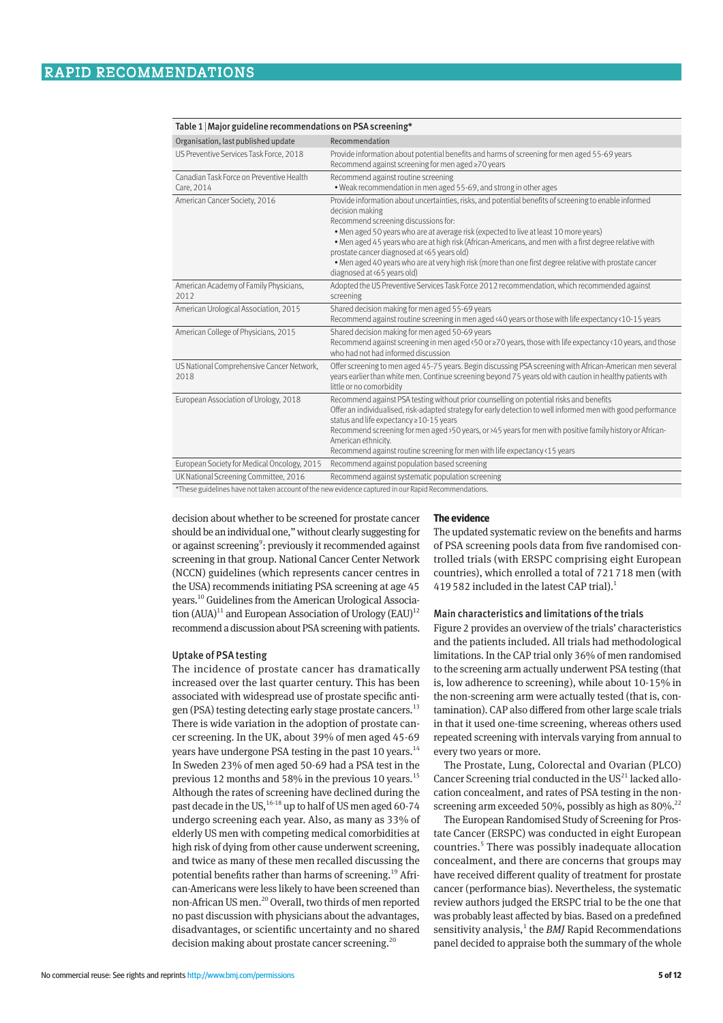| Table 1   Major guideline recommendations on PSA screening* |                                                                                                                                                                                                                                                                                                                                                                                                                                                                                                                                                               |
|-------------------------------------------------------------|---------------------------------------------------------------------------------------------------------------------------------------------------------------------------------------------------------------------------------------------------------------------------------------------------------------------------------------------------------------------------------------------------------------------------------------------------------------------------------------------------------------------------------------------------------------|
| Organisation, last published update                         | Recommendation                                                                                                                                                                                                                                                                                                                                                                                                                                                                                                                                                |
| US Preventive Services Task Force, 2018                     | Provide information about potential benefits and harms of screening for men aged 55-69 years<br>Recommend against screening for men aged ≥70 years                                                                                                                                                                                                                                                                                                                                                                                                            |
| Canadian Task Force on Preventive Health<br>Care, 2014      | Recommend against routine screening<br>. Weak recommendation in men aged 55-69, and strong in other ages                                                                                                                                                                                                                                                                                                                                                                                                                                                      |
| American Cancer Society, 2016                               | Provide information about uncertainties, risks, and potential benefits of screening to enable informed<br>decision making<br>Recommend screening discussions for:<br>• Men aged 50 years who are at average risk (expected to live at least 10 more years)<br>. Men aged 45 years who are at high risk (African-Americans, and men with a first degree relative with<br>prostate cancer diagnosed at <65 years old)<br>• Men aged 40 years who are at very high risk (more than one first degree relative with prostate cancer<br>diagnosed at <65 years old) |
| American Academy of Family Physicians,<br>2012              | Adopted the US Preventive Services Task Force 2012 recommendation, which recommended against<br>screening                                                                                                                                                                                                                                                                                                                                                                                                                                                     |
| American Urological Association, 2015                       | Shared decision making for men aged 55-69 years<br>Recommend against routine screening in men aged <40 years or those with life expectancy <10-15 years                                                                                                                                                                                                                                                                                                                                                                                                       |
| American College of Physicians, 2015                        | Shared decision making for men aged 50-69 years<br>Recommend against screening in men aged <50 or $\geq$ 70 years, those with life expectancy <10 years, and those<br>who had not had informed discussion                                                                                                                                                                                                                                                                                                                                                     |
| US National Comprehensive Cancer Network,<br>2018           | Offer screening to men aged 45-75 years. Begin discussing PSA screening with African-American men several<br>years earlier than white men. Continue screening beyond 75 years old with caution in healthy patients with<br>little or no comorbidity                                                                                                                                                                                                                                                                                                           |
| European Association of Urology, 2018                       | Recommend against PSA testing without prior counselling on potential risks and benefits<br>Offer an individualised, risk-adapted strategy for early detection to well informed men with good performance<br>status and life expectancy ≥10-15 years<br>Recommend screening for men aged >50 years, or >45 years for men with positive family history or African-<br>American ethnicity.<br>Recommend against routine screening for men with life expectancy <15 years                                                                                         |
| European Society for Medical Oncology, 2015                 | Recommend against population based screening                                                                                                                                                                                                                                                                                                                                                                                                                                                                                                                  |
| UK National Screening Committee, 2016                       | Recommend against systematic population screening                                                                                                                                                                                                                                                                                                                                                                                                                                                                                                             |
|                                                             | ΨΤΙΣ ΣΟΣ ΔΟΛΕΙΔΙΚΩΣ ΟΙ ΙΔΟΛΕΣ ΟΙ ΣΕΛΕΙΚΟΣ ΟΙ ΣΕΛΕΙΚΑ ΑΛΑ ΚΟΛΕΣ ΑΠΟΛΕΣ ΟΙ ΣΕΛΕΙΚΟΝ ΤΟ ΣΕΛΕΙΚΟ ΤΟ ΣΕΛΕΙΚΟ ΣΟΝ ΠΟΛΕΣ ΟΙ                                                                                                                                                                                                                                                                                                                                                                                                                                          |

\*These guidelines have not taken account of the new evidence captured in our Rapid Recommendations.

decision about whether to be screened for prostate cancer should be an individual one," without clearly suggesting for or against screening<sup>9</sup>: previously it recommended against screening in that group. National Cancer Center Network (NCCN) guidelines (which represents cancer centres in the USA) recommends initiating PSA screening at age 45 years.10 Guidelines from the American Urological Association  $(AUA)^{11}$  and European Association of Urology  $(EAU)^{12}$ recommend a discussion about PSA screening with patients.

#### Uptake of PSA testing

The incidence of prostate cancer has dramatically increased over the last quarter century. This has been associated with widespread use of prostate specific antigen (PSA) testing detecting early stage prostate cancers.<sup>13</sup> There is wide variation in the adoption of prostate cancer screening. In the UK, about 39% of men aged 45-69 years have undergone PSA testing in the past 10 years. $14$ In Sweden 23% of men aged 50-69 had a PSA test in the previous 12 months and 58% in the previous 10 years.<sup>15</sup> Although the rates of screening have declined during the past decade in the US,<sup>16-18</sup> up to half of US men aged 60-74 undergo screening each year. Also, as many as 33% of elderly US men with competing medical comorbidities at high risk of dying from other cause underwent screening, and twice as many of these men recalled discussing the potential benefits rather than harms of screening.<sup>19</sup> African-Americans were less likely to have been screened than non-African US men.20 Overall, two thirds of men reported no past discussion with physicians about the advantages, disadvantages, or scientific uncertainty and no shared decision making about prostate cancer screening.<sup>20</sup>

#### **The evidence**

The updated systematic review on the benefits and harms of PSA screening pools data from five randomised controlled trials (with ERSPC comprising eight European countries), which enrolled a total of 721718 men (with 419582 included in the latest CAP trial).<sup>1</sup>

#### Main characteristics and limitations of the trials

Figure 2 provides an overview of the trials' characteristics and the patients included. All trials had methodological limitations. In the CAP trial only 36% of men randomised to the screening arm actually underwent PSA testing (that is, low adherence to screening), while about 10-15% in the non-screening arm were actually tested (that is, contamination). CAP also differed from other large scale trials in that it used one-time screening, whereas others used repeated screening with intervals varying from annual to every two years or more.

The Prostate, Lung, Colorectal and Ovarian (PLCO) Cancer Screening trial conducted in the  $US^{21}$  lacked allocation concealment, and rates of PSA testing in the nonscreening arm exceeded 50%, possibly as high as  $80\%$ .<sup>22</sup>

The European Randomised Study of Screening for Prostate Cancer (ERSPC) was conducted in eight European countries.<sup>5</sup> There was possibly inadequate allocation concealment, and there are concerns that groups may have received different quality of treatment for prostate cancer (performance bias). Nevertheless, the systematic review authors judged the ERSPC trial to be the one that was probably least affected by bias. Based on a predefined sensitivity analysis,<sup>1</sup> the *BMJ* Rapid Recommendations panel decided to appraise both the summary of the whole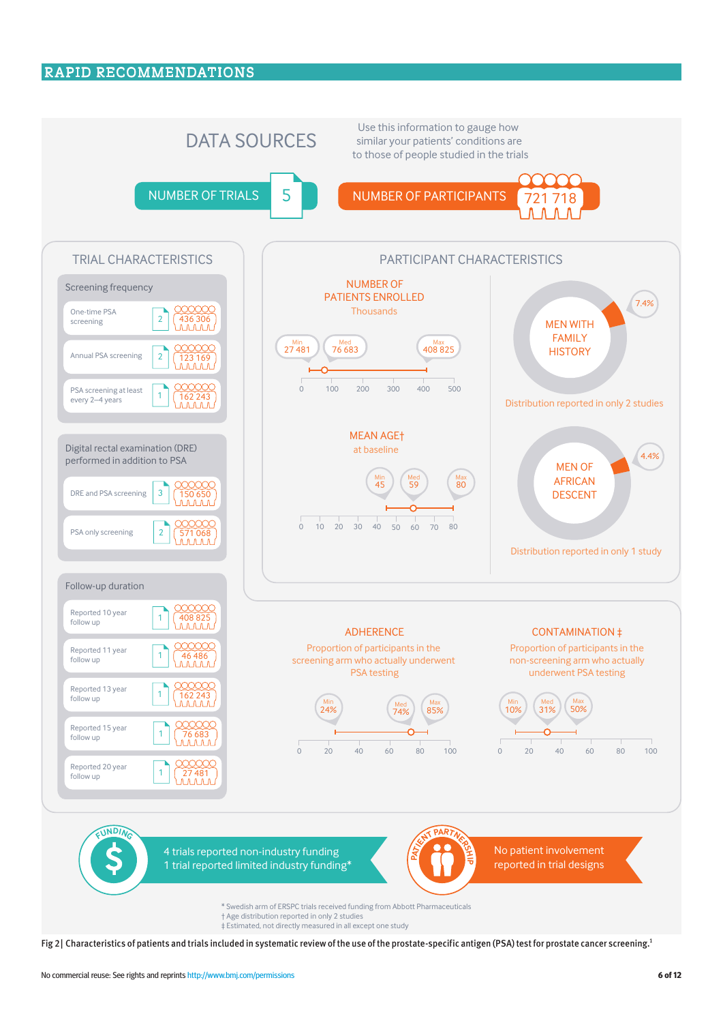

Fig 2| Characteristics of patients and trials included in systematic review of the use of the prostate-specific antigen (PSA) test for prostate cancer screening.<sup>1</sup>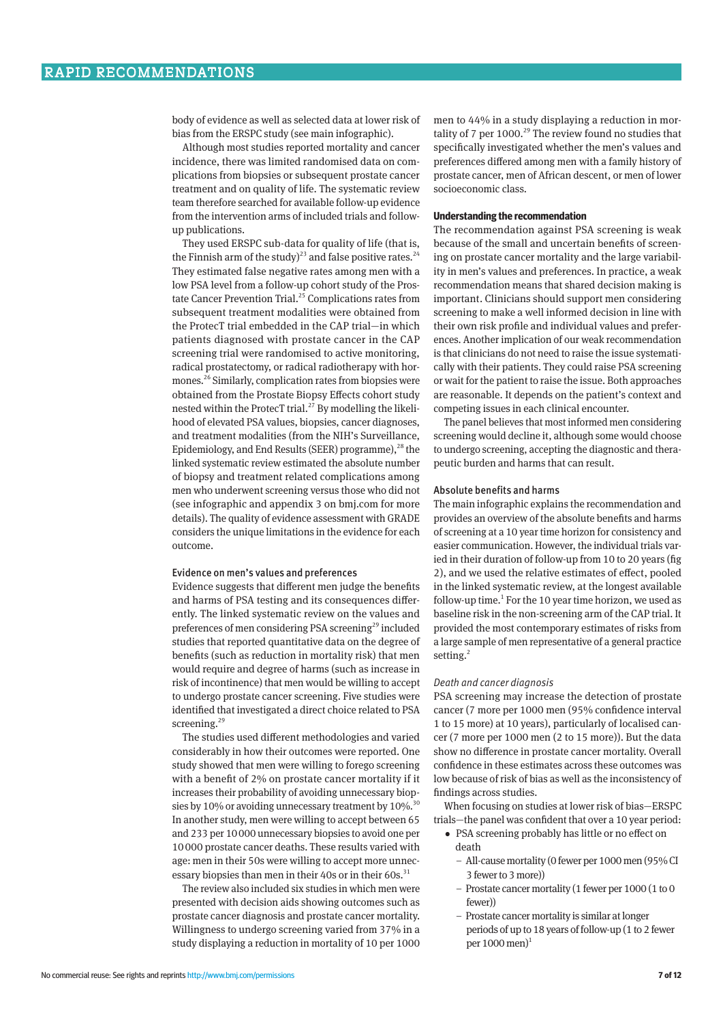body of evidence as well as selected data at lower risk of bias from the ERSPC study (see main infographic).

Although most studies reported mortality and cancer incidence, there was limited randomised data on complications from biopsies or subsequent prostate cancer treatment and on quality of life. The systematic review team therefore searched for available follow-up evidence from the intervention arms of included trials and followup publications.

They used ERSPC sub-data for quality of life (that is, the Finnish arm of the study)<sup>23</sup> and false positive rates.<sup>24</sup> They estimated false negative rates among men with a low PSA level from a follow-up cohort study of the Prostate Cancer Prevention Trial.<sup>25</sup> Complications rates from subsequent treatment modalities were obtained from the ProtecT trial embedded in the CAP trial—in which patients diagnosed with prostate cancer in the CAP screening trial were randomised to active monitoring, radical prostatectomy, or radical radiotherapy with hormones.<sup>26</sup> Similarly, complication rates from biopsies were obtained from the Prostate Biopsy Effects cohort study nested within the ProtecT trial.<sup>27</sup> By modelling the likelihood of elevated PSA values, biopsies, cancer diagnoses, and treatment modalities (from the NIH's Surveillance, Epidemiology, and End Results (SEER) programme), $^{28}$  the linked systematic review estimated the absolute number of biopsy and treatment related complications among men who underwent screening versus those who did not (see infographic and appendix 3 on bmj.com for more details). The quality of evidence assessment with GRADE considers the unique limitations in the evidence for each outcome.

#### Evidence on men's values and preferences

Evidence suggests that different men judge the benefits and harms of PSA testing and its consequences differently. The linked systematic review on the values and preferences of men considering PSA screening<sup>29</sup> included studies that reported quantitative data on the degree of benefits (such as reduction in mortality risk) that men would require and degree of harms (such as increase in risk of incontinence) that men would be willing to accept to undergo prostate cancer screening. Five studies were identified that investigated a direct choice related to PSA screening.<sup>29</sup>

The studies used different methodologies and varied considerably in how their outcomes were reported. One study showed that men were willing to forego screening with a benefit of 2% on prostate cancer mortality if it increases their probability of avoiding unnecessary biopsies by 10% or avoiding unnecessary treatment by 10%.<sup>30</sup> In another study, men were willing to accept between 65 and 233 per 10000 unnecessary biopsies to avoid one per 10000 prostate cancer deaths. These results varied with age: men in their 50s were willing to accept more unnecessary biopsies than men in their 40s or in their 60s. $31$ 

The review also included six studies in which men were presented with decision aids showing outcomes such as prostate cancer diagnosis and prostate cancer mortality. Willingness to undergo screening varied from 37% in a study displaying a reduction in mortality of 10 per 1000 men to 44% in a study displaying a reduction in mortality of 7 per  $1000.<sup>29</sup>$  The review found no studies that specifically investigated whether the men's values and preferences differed among men with a family history of prostate cancer, men of African descent, or men of lower socioeconomic class.

#### **Understanding the recommendation**

The recommendation against PSA screening is weak because of the small and uncertain benefits of screening on prostate cancer mortality and the large variability in men's values and preferences. In practice, a weak recommendation means that shared decision making is important. Clinicians should support men considering screening to make a well informed decision in line with their own risk profile and individual values and preferences. Another implication of our weak recommendation is that clinicians do not need to raise the issue systematically with their patients. They could raise PSA screening or wait for the patient to raise the issue. Both approaches are reasonable. It depends on the patient's context and competing issues in each clinical encounter.

The panel believes that most informed men considering screening would decline it, although some would choose to undergo screening, accepting the diagnostic and therapeutic burden and harms that can result.

#### Absolute benefits and harms

The main infographic explains the recommendation and provides an overview of the absolute benefits and harms of screening at a 10 year time horizon for consistency and easier communication. However, the individual trials varied in their duration of follow-up from 10 to 20 years (fig 2), and we used the relative estimates of effect, pooled in the linked systematic review, at the longest available follow-up time.<sup>1</sup> For the 10 year time horizon, we used as baseline risk in the non-screening arm of the CAP trial. It provided the most contemporary estimates of risks from a large sample of men representative of a general practice setting.<sup>2</sup>

#### *Death and cancer diagnosis*

PSA screening may increase the detection of prostate cancer (7 more per 1000 men (95% confidence interval 1 to 15 more) at 10 years), particularly of localised cancer (7 more per 1000 men (2 to 15 more)). But the data show no difference in prostate cancer mortality. Overall confidence in these estimates across these outcomes was low because of risk of bias as well as the inconsistency of findings across studies.

When focusing on studies at lower risk of bias—ERSPC trials—the panel was confident that over a 10 year period:

- •  PSA screening probably has little or no effect on death
	- All-cause mortality (0 fewer per 1000 men (95% CI 3 fewer to 3 more))
	- Prostate cancer mortality (1 fewer per 1000 (1 to 0 fewer))
	- Prostate cancer mortality is similar at longer periods of up to 18 years of follow-up (1 to 2 fewer per  $1000$  men)<sup>1</sup>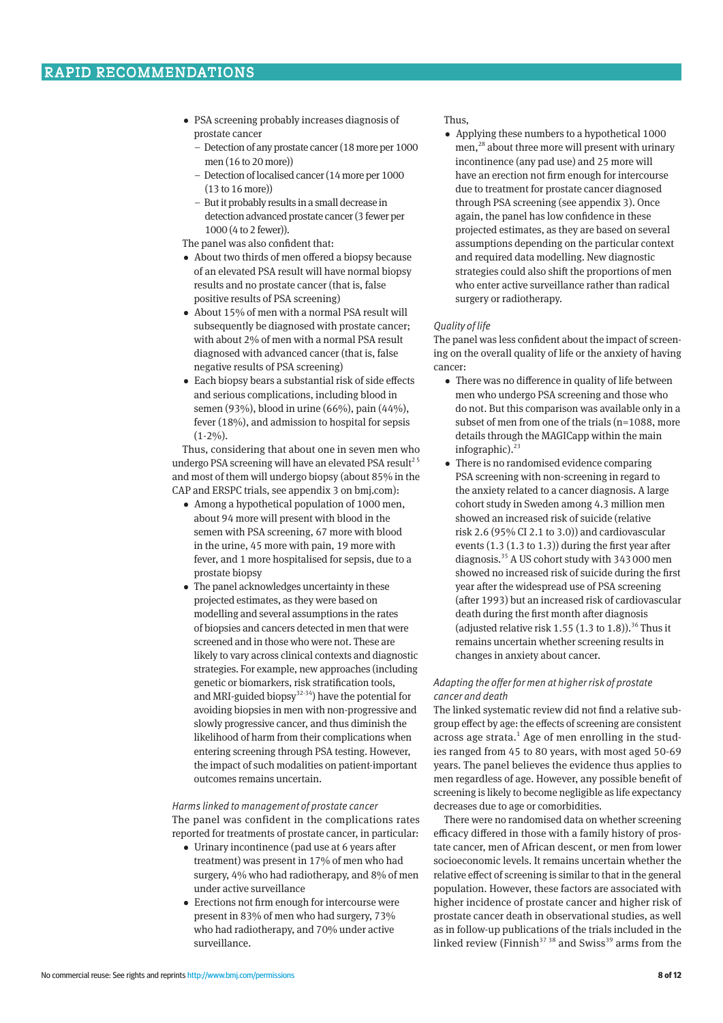- •  PSA screening probably increases diagnosis of prostate cancer
	- Detection of any prostate cancer (18 more per 1000 men (16 to 20 more))
	- Detection of localised cancer (14 more per 1000 (13 to 16 more))
	- But it probably results in a small decrease in detection advanced prostate cancer (3 fewer per 1000 (4 to 2 fewer)).

The panel was also confident that:

- •  About two thirds of men offered a biopsy because of an elevated PSA result will have normal biopsy results and no prostate cancer (that is, false positive results of PSA screening)
- About 15% of men with a normal PSA result will subsequently be diagnosed with prostate cancer; with about 2% of men with a normal PSA result diagnosed with advanced cancer (that is, false negative results of PSA screening)
- •  Each biopsy bears a substantial risk of side effects and serious complications, including blood in semen (93%), blood in urine (66%), pain (44%), fever (18%), and admission to hospital for sepsis  $(1-2\%)$ .

Thus, considering that about one in seven men who undergo PSA screening will have an elevated PSA result<sup>25</sup> and most of them will undergo biopsy (about 85% in the CAP and ERSPC trials, see appendix 3 on bmj.com):

- Among a hypothetical population of 1000 men, about 94 more will present with blood in the semen with PSA screening, 67 more with blood in the urine, 45 more with pain, 19 more with fever, and 1 more hospitalised for sepsis, due to a prostate biopsy
- The panel acknowledges uncertainty in these projected estimates, as they were based on modelling and several assumptions in the rates of biopsies and cancers detected in men that were screened and in those who were not. These are likely to vary across clinical contexts and diagnostic strategies. For example, new approaches (including genetic or biomarkers, risk stratification tools, and MRI-guided biopsy<sup>32-34</sup>) have the potential for avoiding biopsies in men with non-progressive and slowly progressive cancer, and thus diminish the likelihood of harm from their complications when entering screening through PSA testing. However, the impact of such modalities on patient-important outcomes remains uncertain.

*Harms linked to management of prostate cancer* The panel was confident in the complications rates reported for treatments of prostate cancer, in particular:

- •  Urinary incontinence (pad use at 6 years after treatment) was present in 17% of men who had surgery, 4% who had radiotherapy, and 8% of men under active surveillance
- •  Erections not firm enough for intercourse were present in 83% of men who had surgery, 73% who had radiotherapy, and 70% under active surveillance.

## Thus,

• Applying these numbers to a hypothetical 1000 men,<sup>28</sup> about three more will present with urinary incontinence (any pad use) and 25 more will have an erection not firm enough for intercourse due to treatment for prostate cancer diagnosed through PSA screening (see appendix 3). Once again, the panel has low confidence in these projected estimates, as they are based on several assumptions depending on the particular context and required data modelling. New diagnostic strategies could also shift the proportions of men who enter active surveillance rather than radical surgery or radiotherapy.

## *Quality of life*

The panel was less confident about the impact of screening on the overall quality of life or the anxiety of having cancer:

- There was no difference in quality of life between men who undergo PSA screening and those who do not. But this comparison was available only in a subset of men from one of the trials (n=1088, more details through the MAGICapp within the main infographic). $23$
- •  There is no randomised evidence comparing PSA screening with non-screening in regard to the anxiety related to a cancer diagnosis. A large cohort study in Sweden among 4.3 million men showed an increased risk of suicide (relative risk 2.6 (95% CI 2.1 to 3.0)) and cardiovascular events (1.3 (1.3 to 1.3)) during the first year after diagnosis.35 A US cohort study with 343000 men showed no increased risk of suicide during the first year after the widespread use of PSA screening (after 1993) but an increased risk of cardiovascular death during the first month after diagnosis (adjusted relative risk 1.55 (1.3 to 1.8)).<sup>36</sup> Thus it remains uncertain whether screening results in changes in anxiety about cancer.

## *Adapting the offer for men at higher risk of prostate cancer and death*

The linked systematic review did not find a relative subgroup effect by age: the effects of screening are consistent across age strata.<sup>1</sup> Age of men enrolling in the studies ranged from 45 to 80 years, with most aged 50-69 years. The panel believes the evidence thus applies to men regardless of age. However, any possible benefit of screening is likely to become negligible as life expectancy decreases due to age or comorbidities.

There were no randomised data on whether screening efficacy differed in those with a family history of prostate cancer, men of African descent, or men from lower socioeconomic levels. It remains uncertain whether the relative effect of screening is similar to that in the general population. However, these factors are associated with higher incidence of prostate cancer and higher risk of prostate cancer death in observational studies, as well as in follow-up publications of the trials included in the linked review (Finnish<sup>3738</sup> and Swiss<sup>39</sup> arms from the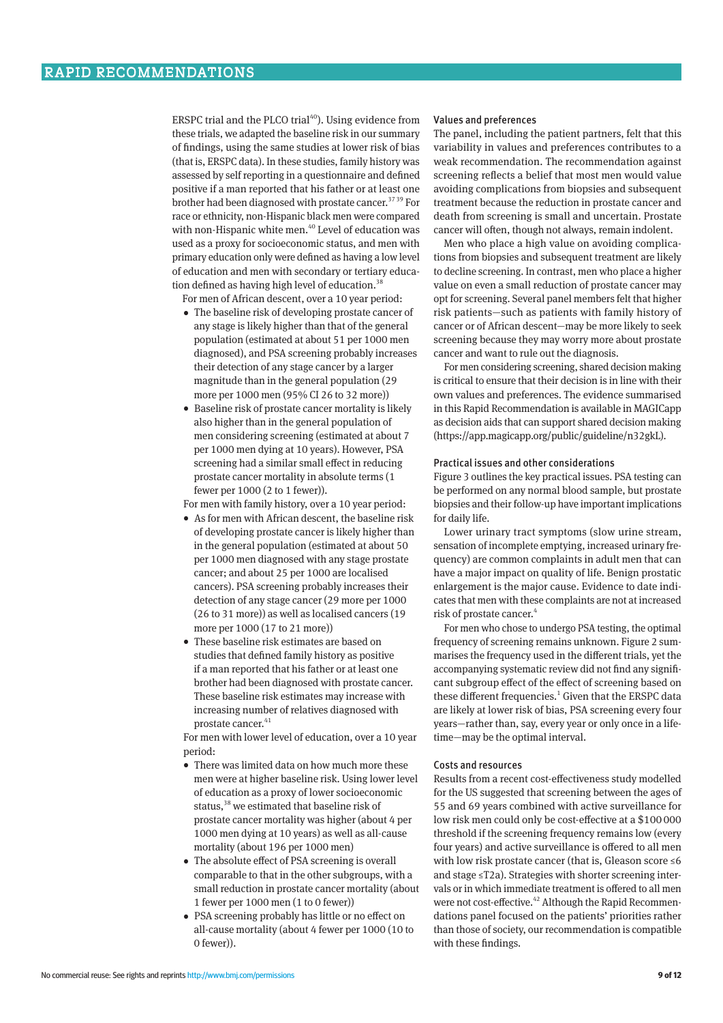ERSPC trial and the PLCO trial<sup>40</sup>). Using evidence from these trials, we adapted the baseline risk in our summary of findings, using the same studies at lower risk of bias (that is, ERSPC data). In these studies, family history was assessed by self reporting in a questionnaire and defined positive if a man reported that his father or at least one brother had been diagnosed with prostate cancer.<sup>37,39</sup> For race or ethnicity, non-Hispanic black men were compared with non-Hispanic white men.<sup>40</sup> Level of education was used as a proxy for socioeconomic status, and men with primary education only were defined as having a low level of education and men with secondary or tertiary education defined as having high level of education.<sup>38</sup>

For men of African descent, over a 10 year period:

- •  The baseline risk of developing prostate cancer of any stage is likely higher than that of the general population (estimated at about 51 per 1000 men diagnosed), and PSA screening probably increases their detection of any stage cancer by a larger magnitude than in the general population (29 more per 1000 men (95% CI 26 to 32 more))
- •  Baseline risk of prostate cancer mortality is likely also higher than in the general population of men considering screening (estimated at about 7 per 1000 men dying at 10 years). However, PSA screening had a similar small effect in reducing prostate cancer mortality in absolute terms (1 fewer per 1000 (2 to 1 fewer)).

For men with family history, over a 10 year period:

- As for men with African descent, the baseline risk of developing prostate cancer is likely higher than in the general population (estimated at about 50 per 1000 men diagnosed with any stage prostate cancer; and about 25 per 1000 are localised cancers). PSA screening probably increases their detection of any stage cancer (29 more per 1000 (26 to 31 more)) as well as localised cancers (19 more per 1000 (17 to 21 more))
- •  These baseline risk estimates are based on studies that defined family history as positive if a man reported that his father or at least one brother had been diagnosed with prostate cancer. These baseline risk estimates may increase with increasing number of relatives diagnosed with prostate cancer.<sup>41</sup>

For men with lower level of education, over a 10 year period:

- •  There was limited data on how much more these men were at higher baseline risk. Using lower level of education as a proxy of lower socioeconomic status,<sup>38</sup> we estimated that baseline risk of prostate cancer mortality was higher (about 4 per 1000 men dying at 10 years) as well as all-cause mortality (about 196 per 1000 men)
- The absolute effect of PSA screening is overall comparable to that in the other subgroups, with a small reduction in prostate cancer mortality (about 1 fewer per 1000 men (1 to 0 fewer))
- •  PSA screening probably has little or no effect on all-cause mortality (about 4 fewer per 1000 (10 to 0 fewer)).

#### Values and preferences

The panel, including the patient partners, felt that this variability in values and preferences contributes to a weak recommendation. The recommendation against screening reflects a belief that most men would value avoiding complications from biopsies and subsequent treatment because the reduction in prostate cancer and death from screening is small and uncertain. Prostate cancer will often, though not always, remain indolent.

Men who place a high value on avoiding complications from biopsies and subsequent treatment are likely to decline screening. In contrast, men who place a higher value on even a small reduction of prostate cancer may opt for screening. Several panel members felt that higher risk patients—such as patients with family history of cancer or of African descent—may be more likely to seek screening because they may worry more about prostate cancer and want to rule out the diagnosis.

For men considering screening, shared decision making is critical to ensure that their decision is in line with their own values and preferences. The evidence summarised in this Rapid Recommendation is available in MAGICapp as decision aids that can support shared decision making (https://app.magicapp.org/public/guideline/n32gkL).

#### Practical issues and other considerations

Figure 3 outlines the key practical issues. PSA testing can be performed on any normal blood sample, but prostate biopsies and their follow-up have important implications for daily life.

Lower urinary tract symptoms (slow urine stream, sensation of incomplete emptying, increased urinary frequency) are common complaints in adult men that can have a major impact on quality of life. Benign prostatic enlargement is the major cause. Evidence to date indicates that men with these complaints are not at increased risk of prostate cancer.<sup>4</sup>

For men who chose to undergo PSA testing, the optimal frequency of screening remains unknown. Figure 2 summarises the frequency used in the different trials, yet the accompanying systematic review did not find any significant subgroup effect of the effect of screening based on these different frequencies.<sup>1</sup> Given that the ERSPC data are likely at lower risk of bias, PSA screening every four years—rather than, say, every year or only once in a lifetime—may be the optimal interval.

#### Costs and resources

Results from a recent cost-effectiveness study modelled for the US suggested that screening between the ages of 55 and 69 years combined with active surveillance for low risk men could only be cost-effective at a \$100000 threshold if the screening frequency remains low (every four years) and active surveillance is offered to all men with low risk prostate cancer (that is, Gleason score ≤6 and stage ≤T2a). Strategies with shorter screening intervals or in which immediate treatment is offered to all men were not cost-effective.<sup>42</sup> Although the Rapid Recommendations panel focused on the patients' priorities rather than those of society, our recommendation is compatible with these findings.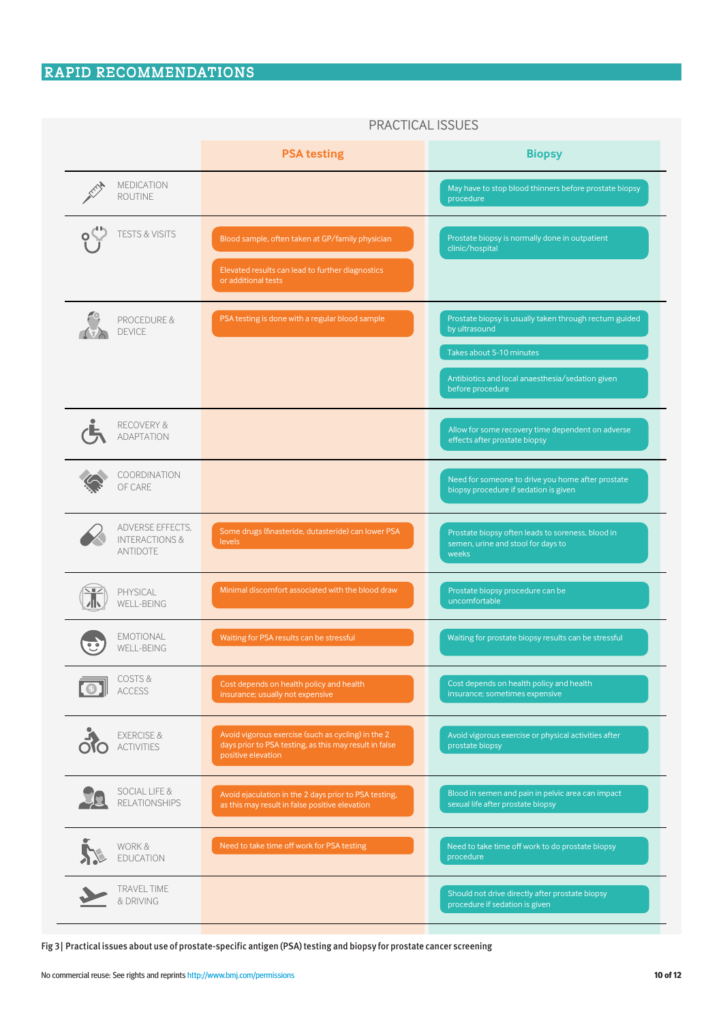PRACTICAL ISSUES

|                                                                  | <b>PSA testing</b>                                                                                                                 | <b>Biopsy</b>                                                                                    |
|------------------------------------------------------------------|------------------------------------------------------------------------------------------------------------------------------------|--------------------------------------------------------------------------------------------------|
| <b>MEDICATION</b><br><b>ROUTINE</b>                              |                                                                                                                                    | May have to stop blood thinners before prostate biopsy<br>procedure                              |
| <b>TESTS &amp; VISITS</b>                                        | Blood sample, often taken at GP/family physician                                                                                   | Prostate biopsy is normally done in outpatient<br>clinic/hospital                                |
|                                                                  | Elevated results can lead to further diagnostics<br>or additional tests                                                            |                                                                                                  |
| <b>PROCEDURE &amp;</b><br><b>DEVICE</b>                          | PSA testing is done with a regular blood sample                                                                                    | Prostate biopsy is usually taken through rectum guided<br>by ultrasound                          |
|                                                                  |                                                                                                                                    | Takes about 5-10 minutes                                                                         |
|                                                                  |                                                                                                                                    | Antibiotics and local anaesthesia/sedation given<br>before procedure                             |
| <b>RECOVERY &amp;</b><br><b>ADAPTATION</b>                       |                                                                                                                                    | Allow for some recovery time dependent on adverse<br>effects after prostate biopsy               |
| COORDINATION<br>OF CARE                                          |                                                                                                                                    | Need for someone to drive you home after prostate<br>biopsy procedure if sedation is given       |
| ADVERSE EFFECTS.<br><b>INTERACTIONS &amp;</b><br><b>ANTIDOTE</b> | Some drugs (finasteride, dutasteride) can lower PSA<br>levels                                                                      | Prostate biopsy often leads to soreness, blood in<br>semen, urine and stool for days to<br>weeks |
| PHYSICAL<br><b>WELL-BEING</b>                                    | Minimal discomfort associated with the blood draw                                                                                  | Prostate biopsy procedure can be<br>uncomfortable                                                |
| <b>EMOTIONAL</b><br><b>WELL-BEING</b>                            | Waiting for PSA results can be stressful                                                                                           | Waiting for prostate biopsy results can be stressful                                             |
| COSTS&<br><b>ACCESS</b>                                          | Cost depends on health policy and health<br>insurance; usually not expensive                                                       | Cost depends on health policy and health<br>insurance; sometimes expensive                       |
| <b>EXERCISE &amp;</b><br><b>ACTIVITIES</b>                       | Avoid vigorous exercise (such as cycling) in the 2<br>days prior to PSA testing, as this may result in false<br>positive elevation | Avoid vigorous exercise or physical activities after<br>prostate biopsy                          |
| SOCIAL LIFE &<br><b>RELATIONSHIPS</b>                            | Avoid ejaculation in the 2 days prior to PSA testing,<br>as this may result in false positive elevation                            | Blood in semen and pain in pelvic area can impact<br>sexual life after prostate biopsy           |
| <b>WORK&amp;</b><br><b>EDUCATION</b>                             | Need to take time off work for PSA testing                                                                                         | Need to take time off work to do prostate biopsy<br>procedure                                    |
| TRAVEL TIME<br>& DRIVING                                         |                                                                                                                                    | Should not drive directly after prostate biopsy<br>procedure if sedation is given                |

Fig 3| Practical issues about use of prostate-specific antigen (PSA) testing and biopsy for prostate cancer screening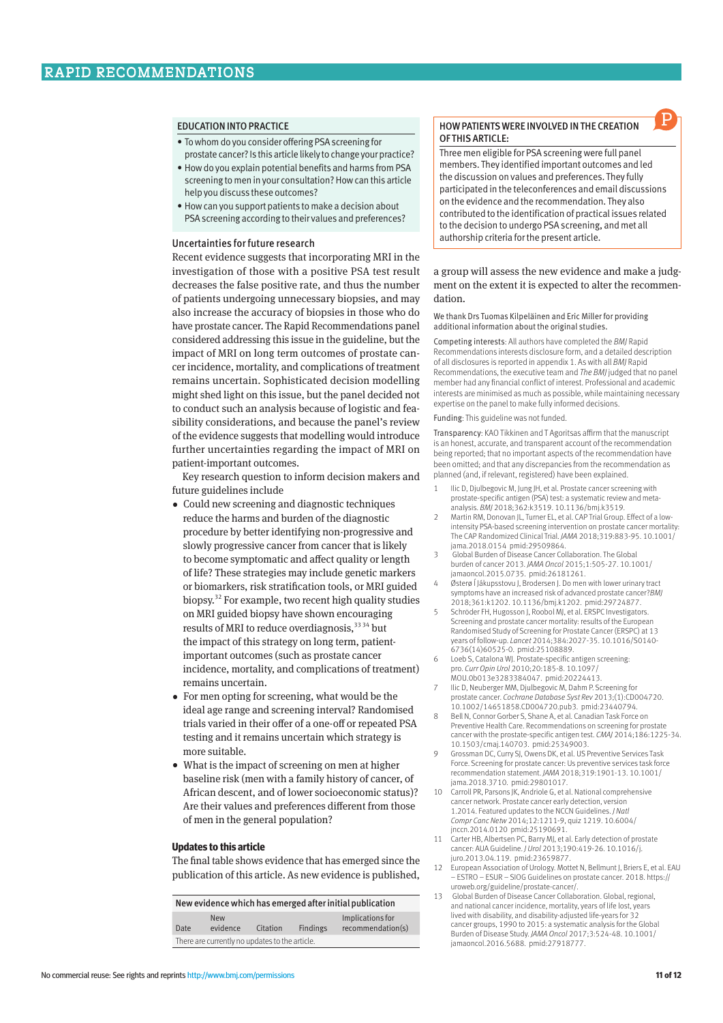#### EDUCATION INTO PRACTICE

- To whom do you consider offering PSA screening for prostate cancer? Is this article likely to change your practice?
- How do you explain potential benefits and harms from PSA screening to men in your consultation? How can this article help you discuss these outcomes?
- How can you support patients to make a decision about PSA screening according to their values and preferences?

#### Uncertainties for future research

Recent evidence suggests that incorporating MRI in the investigation of those with a positive PSA test result decreases the false positive rate, and thus the number of patients undergoing unnecessary biopsies, and may also increase the accuracy of biopsies in those who do have prostate cancer. The Rapid Recommendations panel considered addressing this issue in the guideline, but the impact of MRI on long term outcomes of prostate cancer incidence, mortality, and complications of treatment remains uncertain. Sophisticated decision modelling might shed light on this issue, but the panel decided not to conduct such an analysis because of logistic and feasibility considerations, and because the panel's review of the evidence suggests that modelling would introduce further uncertainties regarding the impact of MRI on patient-important outcomes.

Key research question to inform decision makers and future guidelines include

- •  Could new screening and diagnostic techniques reduce the harms and burden of the diagnostic procedure by better identifying non-progressive and slowly progressive cancer from cancer that is likely to become symptomatic and affect quality or length of life? These strategies may include genetic markers or biomarkers, risk stratification tools, or MRI guided biopsy.<sup>32</sup> For example, two recent high quality studies on MRI guided biopsy have shown encouraging results of MRI to reduce overdiagnosis,  $3334$  but the impact of this strategy on long term, patientimportant outcomes (such as prostate cancer incidence, mortality, and complications of treatment) remains uncertain.
- For men opting for screening, what would be the ideal age range and screening interval? Randomised trials varied in their offer of a one-off or repeated PSA testing and it remains uncertain which strategy is more suitable.
- •  What is the impact of screening on men at higher baseline risk (men with a family history of cancer, of African descent, and of lower socioeconomic status)? Are their values and preferences different from those of men in the general population?

#### **Updates to this article**

The final table shows evidence that has emerged since the publication of this article. As new evidence is published,

| New evidence which has emerged after initial publication |                        |          |                 |                                       |  |  |  |
|----------------------------------------------------------|------------------------|----------|-----------------|---------------------------------------|--|--|--|
| Date                                                     | <b>New</b><br>evidence | Citation | <b>Findings</b> | Implications for<br>recommendation(s) |  |  |  |
| There are currently no updates to the article.           |                        |          |                 |                                       |  |  |  |

#### HOW PATIENTS WERE INVOLVED IN THE CREATION OF THIS ARTICLE:

P

Three men eligible for PSA screening were full panel members. They identified important outcomes and led the discussion on values and preferences. They fully participated in the teleconferences and email discussions on the evidence and the recommendation. They also contributed to the identification of practical issues related to the decision to undergo PSA screening, and met all authorship criteria for the present article.

a group will assess the new evidence and make a judgment on the extent it is expected to alter the recommendation.

We thank Drs Tuomas Kilpeläinen and Eric Miller for providing additional information about the original studies.

Competing interests: All authors have completed the *BMJ* Rapid Recommendations interests disclosure form, and a detailed description of all disclosures is reported in appendix 1. As with all *BMJ* Rapid Recommendations, the executive team and *The BMJ* judged that no panel member had any financial conflict of interest. Professional and academic interests are minimised as much as possible, while maintaining necessary expertise on the panel to make fully informed decisions.

Funding: This guideline was not funded.

Transparency: KAO Tikkinen and T Agoritsas affirm that the manuscript is an honest, accurate, and transparent account of the recommendation being reported; that no important aspects of the recommendation have been omitted; and that any discrepancies from the recommendation as planned (and, if relevant, registered) have been explained.

- Ilic D, Djulbegovic M, Jung JH, et al. Prostate cancer screening with prostate-specific antigen (PSA) test: a systematic review and metaanalysis. *BMJ* 2018;362:k3519. 10.1136/bmj.k3519.
- 2 Martin RM, Donovan JL, Turner EL, et al. CAP Trial Group. Effect of a lowintensity PSA-based screening intervention on prostate cancer mortality: The CAP Randomized Clinical Trial. *JAMA* 2018;319:883-95. 10.1001/ jama.2018.0154 pmid:29509864.
- 3 Global Burden of Disease Cancer Collaboration. The Global burden of cancer 2013. *JAMA Oncol* 2015;1:505-27. 10.1001/ jamaoncol.2015.0735. pmid:26181261.
- Østerø Í Jákupsstovu J. Brodersen J. Do men with lower urinary tract symptoms have an increased risk of advanced prostate cancer?*BMJ* 2018;361:k1202. 10.1136/bmj.k1202. pmid:29724877.
- 5 Schröder FH, Hugosson J, Roobol MJ, et al. ERSPC Investigators. Screening and prostate cancer mortality: results of the European Randomised Study of Screening for Prostate Cancer (ERSPC) at 13 years of follow-up. *Lancet* 2014;384:2027-35. 10.1016/S0140- 6736(14)60525-0. pmid:25108889.
- 6 Loeb S, Catalona WJ. Prostate-specific antigen screening: pro. *Curr Opin Urol* 2010;20:185-8. 10.1097/ MOU.0b013e3283384047. pmid:20224413.
- Ilic D, Neuberger MM, Djulbegovic M, Dahm P. Screening for prostate cancer. *Cochrane Database Syst Rev* 2013;(1):CD004720. 10.1002/14651858.CD004720.pub3. pmid:23440794.
- 8 Bell N, Connor Gorber S, Shane A, et al. Canadian Task Force on Preventive Health Care. Recommendations on screening for prostate cancer with the prostate-specific antigen test. *CMAJ* 2014;186:1225-34. 10.1503/cmaj.140703. pmid:25349003.
- 9 Grossman DC, Curry SJ, Owens DK, et al. US Preventive Services Task Force. Screening for prostate cancer: Us preventive services task force recommendation statement. *JAMA* 2018;319:1901-13. 10.1001/ jama.2018.3710. pmid:29801017.
- 10 Carroll PR, Parsons JK, Andriole G, et al. National comprehensive cancer network. Prostate cancer early detection, version 1.2014. Featured updates to the NCCN Guidelines. *J Natl Compr Canc Netw* 2014;12:1211-9, quiz 1219. 10.6004/ jnccn.2014.0120 pmid:25190691.
- 11 Carter HB, Albertsen PC, Barry MJ, et al. Early detection of prostate cancer: AUA Guideline. *J Urol* 2013;190:419-26. 10.1016/j. juro.2013.04.119. pmid:23659877.
- 12 European Association of Urology. Mottet N, Bellmunt J, Briers E, et al. EAU ESTRO ESUR SIOG Guidelines on prostate cancer. 2018. https:// uroweb.org/guideline/prostate-cancer/.
- 13 Global Burden of Disease Cancer Collaboration. Global, regional, and national cancer incidence, mortality, years of life lost, years lived with disability, and disability-adjusted life-years for 32 cancer groups, 1990 to 2015: a systematic analysis for the Global Burden of Disease Study. *JAMA Oncol* 2017;3:524-48. 10.1001/ jamaoncol.2016.5688. pmid:27918777.